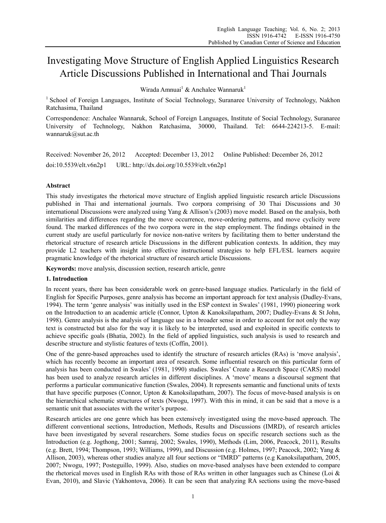# Investigating Move Structure of English Applied Linguistics Research Article Discussions Published in International and Thai Journals

Wirada Amnuai<sup>1</sup> & Anchalee Wannaruk<sup>1</sup>

<sup>1</sup> School of Foreign Languages, Institute of Social Technology, Suranaree University of Technology, Nakhon Ratchasima, Thailand

Correspondence: Anchalee Wannaruk, School of Foreign Languages, Institute of Social Technology, Suranaree University of Technology, Nakhon Ratchasima, 30000, Thailand. Tel: 6644-224213-5. E-mail: wannaruk@sut.ac.th

Received: November 26, 2012 Accepted: December 13, 2012 Online Published: December 26, 2012 doi:10.5539/elt.v6n2p1 URL: http://dx.doi.org/10.5539/elt.v6n2p1

# **Abstract**

This study investigates the rhetorical move structure of English applied linguistic research article Discussions published in Thai and international journals. Two corpora comprising of 30 Thai Discussions and 30 international Discussions were analyzed using Yang & Allison's (2003) move model. Based on the analysis, both similarities and differences regarding the move occurrence, move-ordering patterns, and move cyclicity were found. The marked differences of the two corpora were in the step employment. The findings obtained in the current study are useful particularly for novice non-native writers by facilitating them to better understand the rhetorical structure of research article Discussions in the different publication contexts. In addition, they may provide L2 teachers with insight into effective instructional strategies to help EFL/ESL learners acquire pragmatic knowledge of the rhetorical structure of research article Discussions.

**Keywords:** move analysis, discussion section, research article, genre

## **1. Introduction**

In recent years, there has been considerable work on genre-based language studies. Particularly in the field of English for Specific Purposes, genre analysis has become an important approach for text analysis (Dudley-Evans, 1994). The term 'genre analysis' was initially used in the ESP context in Swales' (1981, 1990) pioneering work on the Introduction to an academic article (Connor, Upton & Kanoksilapatham, 2007; Dudley-Evans & St John, 1998). Genre analysis is the analysis of language use in a broader sense in order to account for not only the way text is constructed but also for the way it is likely to be interpreted, used and exploited in specific contexts to achieve specific goals (Bhatia, 2002). In the field of applied linguistics, such analysis is used to research and describe structure and stylistic features of texts (Coffin, 2001).

One of the genre-based approaches used to identify the structure of research articles (RAs) is 'move analysis', which has recently become an important area of research. Some influential research on this particular form of analysis has been conducted in Swales' (1981, 1990) studies. Swales' Create a Research Space (CARS) model has been used to analyze research articles in different disciplines. A 'move' means a discoursal segment that performs a particular communicative function (Swales, 2004). It represents semantic and functional units of texts that have specific purposes (Connor, Upton & Kanoksilapatham, 2007). The focus of move-based analysis is on the hierarchical schematic structures of texts (Nwogu, 1997). With this in mind, it can be said that a move is a semantic unit that associates with the writer's purpose.

Research articles are one genre which has been extensively investigated using the move-based approach. The different conventional sections, Introduction, Methods, Results and Discussions (IMRD), of research articles have been investigated by several researchers. Some studies focus on specific research sections such as the Introduction (e.g. Jogthong, 2001; Samraj, 2002; Swales, 1990), Methods (Lim, 2006, Peacock, 2011), Results (e.g. Brett, 1994; Thompson, 1993; Williams, 1999), and Discussion (e.g. Holmes, 1997; Peacock, 2002; Yang & Allison, 2003), whereas other studies analyze all four sections or "IMRD" patterns (e.g Kanoksilapatham, 2005, 2007; Nwogu, 1997; Posteguillo, 1999). Also, studies on move-based analyses have been extended to compare the rhetorical moves used in English RAs with those of RAs written in other languages such as Chinese (Loi & Evan, 2010), and Slavic (Yakhontova, 2006). It can be seen that analyzing RA sections using the move-based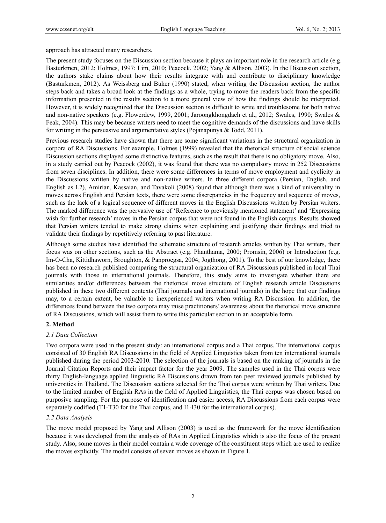approach has attracted many researchers.

The present study focuses on the Discussion section because it plays an important role in the research article (e.g. Basturkmen, 2012; Holmes, 1997; Lim, 2010; Peacock, 2002; Yang & Allison, 2003). In the Discussion section, the authors stake claims about how their results integrate with and contribute to disciplinary knowledge (Basturkmen, 2012). As Weissberg and Buker (1990) stated, when writing the Discussion section, the author steps back and takes a broad look at the findings as a whole, trying to move the readers back from the specific information presented in the results section to a more general view of how the findings should be interpreted. However, it is widely recognized that the Discussion section is difficult to write and troublesome for both native and non-native speakers (e.g. Flowerdew, 1999, 2001; Jaroongkhongdach et al., 2012; Swales, 1990; Swales & Feak, 2004). This may be because writers need to meet the cognitive demands of the discussions and have skills for writing in the persuasive and argumentative styles (Pojanapunya & Todd, 2011).

Previous research studies have shown that there are some significant variations in the structural organization in corpora of RA Discussions. For example, Holmes (1999) revealed that the rhetorical structure of social science Discussion sections displayed some distinctive features, such as the result that there is no obligatory move. Also, in a study carried out by Peacock (2002), it was found that there was no compulsory move in 252 Discussions from seven disciplines. In addition, there were some differences in terms of move employment and cyclicity in the Discussions written by native and non-native writers. In three different corpora (Persian, English, and English as L2), Amirian, Kassaian, and Tavakoli (2008) found that although there was a kind of universality in moves across English and Persian texts, there were some discrepancies in the frequency and sequence of moves, such as the lack of a logical sequence of different moves in the English Discussions written by Persian writers. The marked difference was the pervasive use of 'Reference to previously mentioned statement' and 'Expressing wish for further research' moves in the Persian corpus that were not found in the English corpus. Results showed that Persian writers tended to make strong claims when explaining and justifying their findings and tried to validate their findings by repetitively referring to past literature.

Although some studies have identified the schematic structure of research articles written by Thai writers, their focus was on other sections, such as the Abstract (e.g. Phanthama, 2000; Promsin, 2006) or Introduction (e.g. Im-O-Cha, Kittidhaworn, Broughton, & Panproegsa, 2004; Jogthong, 2001). To the best of our knowledge, there has been no research published comparing the structural organization of RA Discussions published in local Thai journals with those in international journals. Therefore, this study aims to investigate whether there are similarities and/or differences between the rhetorical move structure of English research article Discussions published in these two different contexts (Thai journals and international journals) in the hope that our findings may, to a certain extent, be valuable to inexperienced writers when writing RA Discussion. In addition, the differences found between the two corpora may raise practitioners' awareness about the rhetorical move structure of RA Discussions, which will assist them to write this particular section in an acceptable form.

## **2. Method**

## *2.1 Data Collection*

Two corpora were used in the present study: an international corpus and a Thai corpus. The international corpus consisted of 30 English RA Discussions in the field of Applied Linguistics taken from ten international journals published during the period 2003-2010. The selection of the journals is based on the ranking of journals in the Journal Citation Reports and their impact factor for the year 2009. The samples used in the Thai corpus were thirty English-language applied linguistic RA Discussions drawn from ten peer reviewed journals published by universities in Thailand. The Discussion sections selected for the Thai corpus were written by Thai writers. Due to the limited number of English RAs in the field of Applied Linguistics, the Thai corpus was chosen based on purposive sampling. For the purpose of identification and easier access, RA Discussions from each corpus were separately codified (T1-T30 for the Thai corpus, and I1-I30 for the international corpus).

## *2.2 Data Analysis*

The move model proposed by Yang and Allison (2003) is used as the framework for the move identification because it was developed from the analysis of RAs in Applied Linguistics which is also the focus of the present study. Also, some moves in their model contain a wide coverage of the constituent steps which are used to realize the moves explicitly. The model consists of seven moves as shown in Figure 1.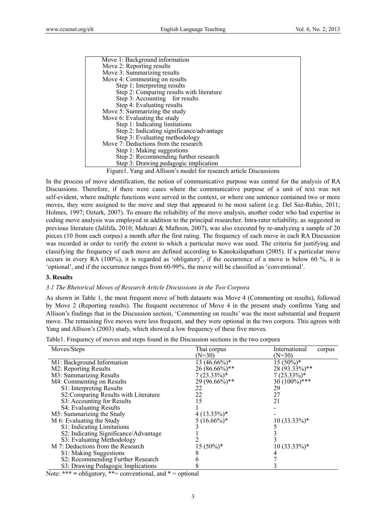| Move 1: Background information            |
|-------------------------------------------|
| Move 2: Reporting results                 |
| Move 3: Summarizing results               |
| Move 4: Commenting on results             |
| Step 1: Interpreting results              |
| Step 2: Comparing results with literature |
| Step 3: Accounting for results            |
| Step 4: Evaluating results                |
| Move 5: Summarizing the study             |
| Move 6: Evaluating the study              |
| Step 1: Indicating limitations            |
| Step 2: Indicating significance/advantage |
| Step 3: Evaluating methodology            |
| Move 7: Deductions from the research      |
| Step 1: Making suggestions                |
| Step 2: Recommending further research     |
| Step 3: Drawing pedagogic implication     |

Figure1. Yang and Allison's model for research article Discussions

In the process of move identification, the notion of communicative purpose was central for the analysis of RA Discussions. Therefore, if there were cases where the communicative purpose of a unit of text was not self-evident, where multiple functions were served in the context, or where one sentence contained two or more moves, they were assigned to the move and step that appeared to be most salient (e.g. Del Saz-Rubio, 2011; Holmes, 1997; Ozturk, 2007). To ensure the reliability of the move analysis, another coder who had expertise in coding move analysis was employed in addition to the principal researcher. Intra-rater reliability, as suggested in previous literature (Jalilifa, 2010; Mahzari & Maftoon, 2007), was also executed by re-analyzing a sample of 20 pieces (10 from each corpus) a month after the first rating. The frequency of each move in each RA Discussion was recorded in order to verify the extent to which a particular move was used. The criteria for justifying and classifying the frequency of each move are defined according to Kanoksilapatham (2005). If a particular move occurs in every RA (100%), it is regarded as 'obligatory', if the occurrence of a move is below 60 %, it is 'optional', and if the occurrence ranges from 60-99%, the move will be classified as 'conventional'.

#### **3. Results**

#### *3.1 The Rhetorical Moves of Research Article Discussions in the Two Corpora*

As shown in Table 1, the most frequent move of both datasets was Move 4 (Commenting on results), followed by Move 2 (Reporting results). The frequent occurrence of Move 4 in the present study confirms Yang and Allison's findings that in the Discussion section, 'Commenting on results' was the most substantial and frequent move. The remaining five moves were less frequent, and they were optional in the two corpora. This agrees with Yang and Allison's (2003) study, which showed a low frequency of these five moves.

| Table 1. Frequency of moves and steps found in the Discussion sections in the two corpora |  |  |  |  |
|-------------------------------------------------------------------------------------------|--|--|--|--|
|-------------------------------------------------------------------------------------------|--|--|--|--|

| Moves/Steps                                                                               | Thai corpus     | International<br>corpus |
|-------------------------------------------------------------------------------------------|-----------------|-------------------------|
|                                                                                           | $(N=30)$        | $(N=30)$                |
| M1: Background Information                                                                | $13(46.66\%)*$  | $15(50\%)*$             |
| M2: Reporting Results                                                                     | $26(86.66\%)**$ | $28(93.33\%)$ **        |
| M3: Summarizing Results                                                                   | $7(23.33\%)*$   | $7(23.33\%)*$           |
| M4: Commenting on Results                                                                 | 29 (96.66%)**   | $30(100\%)$ ***         |
| S1: Interpreting Results                                                                  | 22              | 29                      |
| S2: Comparing Results with Literature                                                     | 22              | 27                      |
| S3: Accounting for Results                                                                | 15              | 21                      |
| S4: Evaluating Results                                                                    |                 |                         |
| M5: Summarizing the Study                                                                 | $4(13.33\%)*$   |                         |
| M 6: Evaluating the Study                                                                 | $5(16.66\%)*$   | $10(33.33\%)*$          |
| S1: Indicating Limitations                                                                |                 |                         |
| S2: Indicating Significance/Advantage                                                     |                 |                         |
| S3: Evaluating Methodology                                                                |                 |                         |
| M 7: Deductions from the Research                                                         | $15(50\%)*$     | 10 (33.33%)*            |
| S1: Making Suggestions                                                                    |                 |                         |
| S2: Recommending Further Research                                                         |                 |                         |
| S3: Drawing Pedagogic Implications                                                        |                 |                         |
| $\mathbf{11'}$ , $\mathbf{44}$ , $\mathbf{11}$ , $\mathbf{12}$ , $\mathbf{13}$<br>ът заза |                 |                         |

Note: **\*\*\* =** obligatory, \*\*= conventional, and \* = optional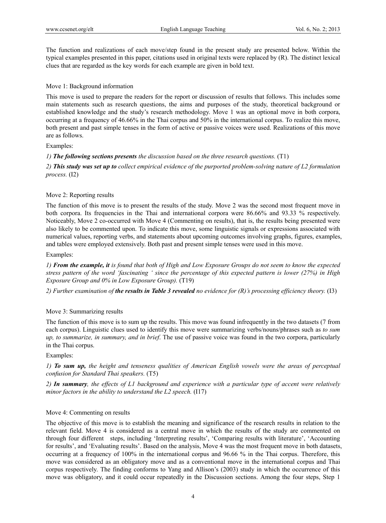The function and realizations of each move/step found in the present study are presented below. Within the typical examples presented in this paper, citations used in original texts were replaced by (R). The distinct lexical clues that are regarded as the key words for each example are given in bold text.

## Move 1: Background information

This move is used to prepare the readers for the report or discussion of results that follows. This includes some main statements such as research questions, the aims and purposes of the study, theoretical background or established knowledge and the study's research methodology. Move 1 was an optional move in both corpora, occurring at a frequency of 46.66% in the Thai corpus and 50% in the international corpus. To realize this move, both present and past simple tenses in the form of active or passive voices were used. Realizations of this move are as follows.

## Examples:

*1) The following sections presents the discussion based on the three research questions.* (T1)

*2) This study was set up to collect empirical evidence of the purported problem-solving nature of L2 formulation process.* (I2)

## Move 2: Reporting results

The function of this move is to present the results of the study. Move 2 was the second most frequent move in both corpora. Its frequencies in the Thai and international corpora were 86.66% and 93.33 % respectively. Noticeably, Move 2 co-occurred with Move 4 (Commenting on results), that is, the results being presented were also likely to be commented upon. To indicate this move, some linguistic signals or expressions associated with numerical values, reporting verbs, and statements about upcoming outcomes involving graphs, figures, examples, and tables were employed extensively. Both past and present simple tenses were used in this move.

Examples:

*1) From the example, it is found that both of High and Low Exposure Groups do not seem to know the expected stress pattern of the word 'fascinating ' since the percentage of this expected pattern is lower (27%) in High Exposure Group and 0% in Low Exposure Group).* (T19)

*2) Further examination of the results in Table 3 revealed no evidence for (R)'s processing efficiency theory.* (I3)

## Move 3: Summarizing results

The function of this move is to sum up the results. This move was found infrequently in the two datasets (7 from each corpus). Linguistic clues used to identify this move were summarizing verbs/nouns/phrases such as *to sum up, to summarize, in summary, and in brief*. The use of passive voice was found in the two corpora, particularly in the Thai corpus.

Examples:

*1) To sum up, the height and tenseness qualities of American English vowels were the areas of perceptual confusion for Standard Thai speakers.* (T5)

*2) In summary, the effects of L1 background and experience with a particular type of accent were relatively minor factors in the ability to understand the L2 speech.* (I17)

## Move 4: Commenting on results

The objective of this move is to establish the meaning and significance of the research results in relation to the relevant field. Move 4 is considered as a central move in which the results of the study are commented on through four different steps, including 'Interpreting results', 'Comparing results with literature', 'Accounting for results', and 'Evaluating results'. Based on the analysis, Move 4 was the most frequent move in both datasets, occurring at a frequency of 100% in the international corpus and 96.66 % in the Thai corpus. Therefore, this move was considered as an obligatory move and as a conventional move in the international corpus and Thai corpus respectively. The finding conforms to Yang and Allison's (2003) study in which the occurrence of this move was obligatory, and it could occur repeatedly in the Discussion sections. Among the four steps, Step 1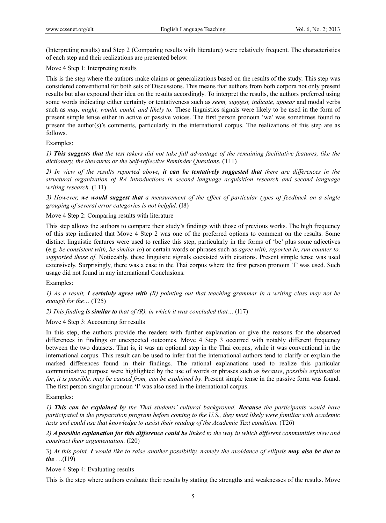(Interpreting results) and Step 2 (Comparing results with literature) were relatively frequent. The characteristics of each step and their realizations are presented below.

#### Move 4 Step 1: Interpreting results

This is the step where the authors make claims or generalizations based on the results of the study. This step was considered conventional for both sets of Discussions. This means that authors from both corpora not only present results but also expound their idea on the results accordingly. To interpret the results, the authors preferred using some words indicating either certainty or tentativeness such as *seem, suggest, indicate, appear* and modal verbs such as *may, might, would, could, and likely to.* These linguistics signals were likely to be used in the form of present simple tense either in active or passive voices. The first person pronoun 'we' was sometimes found to present the author(s)'s comments, particularly in the international corpus. The realizations of this step are as follows.

#### Examples:

*1) This suggests that the test takers did not take full advantage of the remaining facilitative features, like the dictionary, the thesaurus or the Self-reflective Reminder Questions.* (T11)

*2) In view of the results reported above, it can be tentatively suggested that there are differences in the structural organization of RA introductions in second language acquisition research and second language writing research.* (I 11)

*3) However, we would suggest that a measurement of the effect of particular types of feedback on a single grouping of several error categories is not helpful.* (I8)

Move 4 Step 2: Comparing results with literature

This step allows the authors to compare their study's findings with those of previous works. The high frequency of this step indicated that Move 4 Step 2 was one of the preferred options to comment on the results. Some distinct linguistic features were used to realize this step, particularly in the forms of 'be' plus some adjectives (e.g. *be consistent with, be similar to*) or certain words or phrases such as *agree with, reported in, run counter to, supported those of*. Noticeably, these linguistic signals coexisted with citations. Present simple tense was used extensively. Surprisingly, there was a case in the Thai corpus where the first person pronoun 'I' was used. Such usage did not found in any international Conclusions.

Examples:

*1) As a result, I certainly agree with (R) pointing out that teaching grammar in a writing class may not be enough for the…* (T25)

*2) This finding is similar to that of (R), in which it was concluded that…* (I17)

## Move 4 Step 3: Accounting for results

In this step, the authors provide the readers with further explanation or give the reasons for the observed differences in findings or unexpected outcomes. Move 4 Step 3 occurred with notably different frequency between the two datasets. That is, it was an optional step in the Thai corpus, while it was conventional in the international corpus. This result can be used to infer that the international authors tend to clarify or explain the marked differences found in their findings. The rational explanations used to realize this particular communicative purpose were highlighted by the use of words or phrases such as *because*, *possible explanation for*, *it is possible, may be caused from, can be explained by*. Present simple tense in the passive form was found. The first person singular pronoun 'I' was also used in the international corpus.

#### Examples:

*1) This can be explained by the Thai students' cultural background. Because the participants would have participated in the preparation program before coming to the U.S., they most likely were familiar with academic texts and could use that knowledge to assist their reading of the Academic Text condition.* (T26)

*2) A possible explanation for this difference could be linked to the way in which different communities view and construct their argumentation.* (I20)

3) *At this point, I would like to raise another possibility, namely the avoidance of ellipsis may also be due to the* …(I19)

Move 4 Step 4: Evaluating results

This is the step where authors evaluate their results by stating the strengths and weaknesses of the results. Move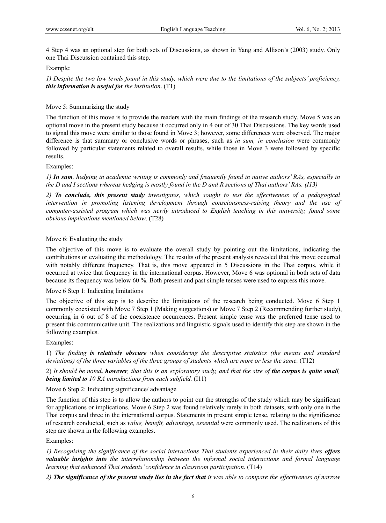4 Step 4 was an optional step for both sets of Discussions, as shown in Yang and Allison's (2003) study. Only one Thai Discussion contained this step.

#### Example:

*1) Despite the two low levels found in this study, which were due to the limitations of the subjects' proficiency, this information is useful for the institution*. (T1)

## Move 5: Summarizing the study

The function of this move is to provide the readers with the main findings of the research study. Move 5 was an optional move in the present study because it occurred only in 4 out of 30 Thai Discussions. The key words used to signal this move were similar to those found in Move 3; however, some differences were observed. The major difference is that summary or conclusive words or phrases, such as *in sum, in conclusion* were commonly followed by particular statements related to overall results, while those in Move 3 were followed by specific results.

#### Examples:

*1) In sum, hedging in academic writing is commonly and frequently found in native authors' RAs, especially in the D and I sections whereas hedging is mostly found in the D and R sections of Thai authors' RAs. (I13)* 

*2) To conclude, this present study investigates, which sought to test the effectiveness of a pedagogical intervention in promoting listening development through consciousness-raising theory and the use of computer-assisted program which was newly introduced to English teaching in this university, found some obvious implications mentioned below*. (T28)

## Move 6: Evaluating the study

The objective of this move is to evaluate the overall study by pointing out the limitations, indicating the contributions or evaluating the methodology. The results of the present analysis revealed that this move occurred with notably different frequency. That is, this move appeared in 5 Discussions in the Thai corpus, while it occurred at twice that frequency in the international corpus. However, Move 6 was optional in both sets of data because its frequency was below 60 %. Both present and past simple tenses were used to express this move.

#### Move 6 Step 1: Indicating limitations

The objective of this step is to describe the limitations of the research being conducted. Move 6 Step 1 commonly coexisted with Move 7 Step 1 (Making suggestions) or Move 7 Step 2 (Recommending further study), occurring in 6 out of 8 of the coexistence occurrences. Present simple tense was the preferred tense used to present this communicative unit. The realizations and linguistic signals used to identify this step are shown in the following examples.

#### Examples:

1) *The finding is relatively obscure when considering the descriptive statistics (the means and standard deviations) of the three variables of the three groups of students which are more or less the same.* (T12)

2) *It should be noted, however, that this is an exploratory study, and that the size of the corpus is quite small, being limited to 10 RA introductions from each subfield.* (I11)

# Move 6 Step 2: Indicating significance/ advantage

The function of this step is to allow the authors to point out the strengths of the study which may be significant for applications or implications. Move 6 Step 2 was found relatively rarely in both datasets, with only one in the Thai corpus and three in the international corpus. Statements in present simple tense, relating to the significance of research conducted, such as *value, benefit, advantage, essential* were commonly used. The realizations of this step are shown in the following examples.

Examples:

*1) Recognising the significance of the social interactions Thai students experienced in their daily lives offers valuable insights into the interrelationship between the informal social interactions and formal language learning that enhanced Thai students' confidence in classroom participation*. (T14)

*2) The significance of the present study lies in the fact that it was able to compare the effectiveness of narrow*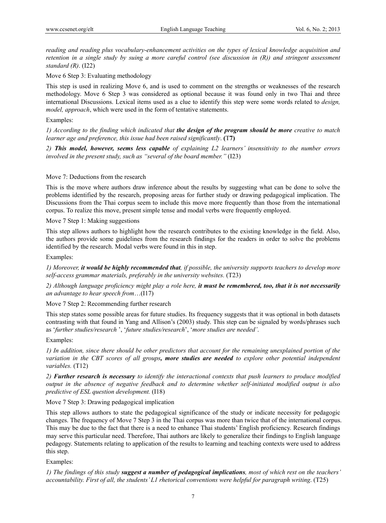*reading and reading plus vocabulary-enhancement activities on the types of lexical knowledge acquisition and retention in a single study by suing a more careful control (see discussion in (R)) and stringent assessment standard (R)*. (I22)

Move 6 Step 3: Evaluating methodology

This step is used in realizing Move 6, and is used to comment on the strengths or weaknesses of the research methodology. Move 6 Step 3 was considered as optional because it was found only in two Thai and three international Discussions. Lexical items used as a clue to identify this step were some words related to *design, model, approach*, which were used in the form of tentative statements.

## Examples:

*1) According to the finding which indicated that the design of the program should be more creative to match learner age and preference, this issue had been raised significantly*. **(**T**7)** 

*2) This model, however, seems less capable of explaining L2 learners' insensitivity to the number errors involved in the present study, such as "several of the board member."* (I23)

## Move 7: Deductions from the research

This is the move where authors draw inference about the results by suggesting what can be done to solve the problems identified by the research, proposing areas for further study or drawing pedagogical implication. The Discussions from the Thai corpus seem to include this move more frequently than those from the international corpus. To realize this move, present simple tense and modal verbs were frequently employed.

Move 7 Step 1: Making suggestions

This step allows authors to highlight how the research contributes to the existing knowledge in the field. Also, the authors provide some guidelines from the research findings for the readers in order to solve the problems identified by the research. Modal verbs were found in this in step.

Examples:

*1) Moreover, it would be highly recommended that, if possible, the university supports teachers to develop more self-access grammar materials, preferably in the university websites.* (T23)

*2) Although language proficiency might play a role here, it must be remembered, too, that it is not necessarily an advantage to hear speech from*…(I17)

Move 7 Step 2: Recommending further research

This step states some possible areas for future studies. Its frequency suggests that it was optional in both datasets contrasting with that found in Yang and Allison's (2003) study. This step can be signaled by words/phrases such as '*further studies/research* ', '*future studies/research*', '*more studies are needed'*.

#### Examples:

*1) In addition, since there should be other predictors that account for the remaining unexplained portion of the variation in the CBT scores of all groups, more studies are needed to explore other potential independent variables.* (T12)

*2) Further research is necessary to identify the interactional contexts that push learners to produce modified output in the absence of negative feedback and to determine whether self-initiated modified output is also predictive of ESL question development.* (I18)

Move 7 Step 3: Drawing pedagogical implication

This step allows authors to state the pedagogical significance of the study or indicate necessity for pedagogic changes. The frequency of Move 7 Step 3 in the Thai corpus was more than twice that of the international corpus. This may be due to the fact that there is a need to enhance Thai students' English proficiency. Research findings may serve this particular need. Therefore, Thai authors are likely to generalize their findings to English language pedagogy. Statements relating to application of the results to learning and teaching contexts were used to address this step.

Examples:

*1) The findings of this study suggest a number of pedagogical implications, most of which rest on the teachers' accountability. First of all, the students' L1 rhetorical conventions were helpful for paragraph writing*. (T25)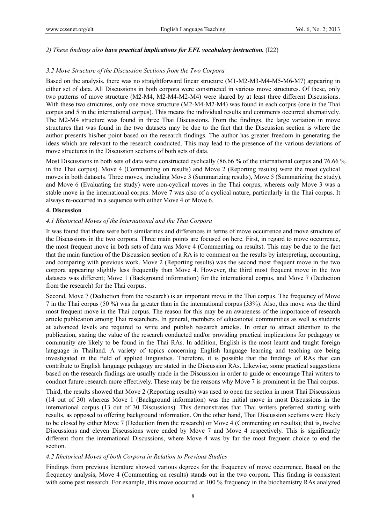## *2) These findings also have practical implications for EFL vocabulary instruction.* (I22)

#### *3.2 Move Structure of the Discussion Sections from the Two Corpora*

Based on the analysis, there was no straightforward linear structure (M1-M2-M3-M4-M5-M6-M7) appearing in either set of data. All Discussions in both corpora were constructed in various move structures. Of these, only two patterns of move structure (M2-M4, M2-M4-M2-M4) were shared by at least three different Discussions. With these two structures, only one move structure  $(M2-M4-M2-M4)$  was found in each corpus (one in the Thai corpus and 5 in the international corpus). This means the individual results and comments occurred alternatively. The M2-M4 structure was found in three Thai Discussions. From the findings, the large variation in move structures that was found in the two datasets may be due to the fact that the Discussion section is where the author presents his/her point based on the research findings. The author has greater freedom in generating the ideas which are relevant to the research conducted. This may lead to the presence of the various deviations of move structures in the Discussion sections of both sets of data.

Most Discussions in both sets of data were constructed cyclically (86.66 % of the international corpus and 76.66 % in the Thai corpus). Move 4 (Commenting on results) and Move 2 (Reporting results) were the most cyclical moves in both datasets. Three moves, including Move 3 (Summarizing results), Move 5 (Summarizing the study), and Move 6 (Evaluating the study) were non-cyclical moves in the Thai corpus, whereas only Move 3 was a stable move in the international corpus. Move 7 was also of a cyclical nature, particularly in the Thai corpus. It always re-occurred in a sequence with either Move 4 or Move 6.

#### **4. Discussion**

#### *4.1 Rhetorical Moves of the International and the Thai Corpora*

It was found that there were both similarities and differences in terms of move occurrence and move structure of the Discussions in the two corpora. Three main points are focused on here. First, in regard to move occurrence, the most frequent move in both sets of data was Move 4 (Commenting on results). This may be due to the fact that the main function of the Discussion section of a RA is to comment on the results by interpreting, accounting, and comparing with previous work. Move 2 (Reporting results) was the second most frequent move in the two corpora appearing slightly less frequently than Move 4. However, the third most frequent move in the two datasets was different; Move 1 (Background information) for the international corpus, and Move 7 (Deduction from the research) for the Thai corpus.

Second, Move 7 (Deduction from the research) is an important move in the Thai corpus. The frequency of Move 7 in the Thai corpus (50 %) was far greater than in the international corpus (33%). Also, this move was the third most frequent move in the Thai corpus. The reason for this may be an awareness of the importance of research article publication among Thai researchers. In general, members of educational communities as well as students at advanced levels are required to write and publish research articles. In order to attract attention to the publication, stating the value of the research conducted and/or providing practical implications for pedagogy or community are likely to be found in the Thai RAs. In addition, English is the most learnt and taught foreign language in Thailand. A variety of topics concerning English language learning and teaching are being investigated in the field of applied linguistics. Therefore, it is possible that the findings of RAs that can contribute to English language pedagogy are stated in the Discussion RAs. Likewise, some practical suggestions based on the research findings are usually made in the Discussion in order to guide or encourage Thai writers to conduct future research more effectively. These may be the reasons why Move 7 is prominent in the Thai corpus.

Third, the results showed that Move 2 (Reporting results) was used to open the section in most Thai Discussions (14 out of 30) whereas Move 1 (Background information) was the initial move in most Discussions in the international corpus (13 out of 30 Discussions). This demonstrates that Thai writers preferred starting with results, as opposed to offering background information. On the other hand, Thai Discussion sections were likely to be closed by either Move 7 (Deduction from the research) or Move 4 (Commenting on results); that is, twelve Discussions and eleven Discussions were ended by Move 7 and Move 4 respectively. This is significantly different from the international Discussions, where Move 4 was by far the most frequent choice to end the section.

#### *4.2 Rhetorical Moves of both Corpora in Relation to Previous Studies*

Findings from previous literature showed various degrees for the frequency of move occurrence. Based on the frequency analysis, Move 4 (Commenting on results) stands out in the two corpora. This finding is consistent with some past research. For example, this move occurred at 100 % frequency in the biochemistry RAs analyzed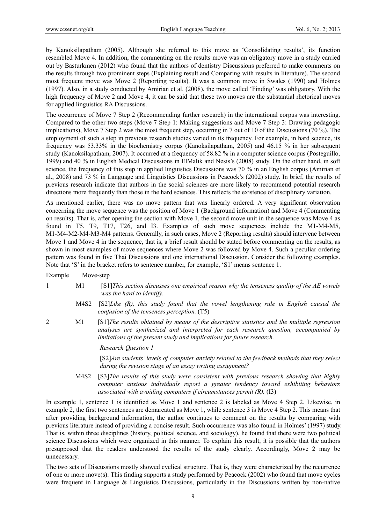by Kanoksilapatham (2005). Although she referred to this move as 'Consolidating results', its function resembled Move 4. In addition, the commenting on the results move was an obligatory move in a study carried out by Basturkmen (2012) who found that the authors of dentistry Discussions preferred to make comments on the results through two prominent steps (Explaining result and Comparing with results in literature). The second most frequent move was Move 2 (Reporting results). It was a common move in Swales (1990) and Holmes (1997). Also, in a study conducted by Amirian et al. (2008), the move called 'Finding' was obligatory. With the high frequency of Move 2 and Move 4, it can be said that these two moves are the substantial rhetorical moves for applied linguistics RA Discussions.

The occurrence of Move 7 Step 2 (Recommending further research) in the international corpus was interesting. Compared to the other two steps (Move 7 Step 1: Making suggestions and Move 7 Step 3: Drawing pedagogic implications), Move 7 Step 2 was the most frequent step, occurring in 7 out of 10 of the Discussions (70 %). The employment of such a step in previous research studies varied in its frequency. For example, in hard science, its frequency was 53.33% in the biochemistry corpus (Kanoksilapatham, 2005) and 46.15 % in her subsequent study (Kanoksilapatham, 2007). It occurred at a frequency of 58.82 % in a computer science corpus (Posteguillo, 1999) and 40 % in English Medical Discussions in ElMalik and Nesis's (2008) study. On the other hand, in soft science, the frequency of this step in applied linguistics Discussions was 70 % in an English corpus (Amirian et al., 2008) and 73 % in Language and Linguistics Discussions in Peacock's (2002) study. In brief, the results of previous research indicate that authors in the social sciences are more likely to recommend potential research directions more frequently than those in the hard sciences. This reflects the existence of disciplinary variation.

As mentioned earlier, there was no move pattern that was linearly ordered. A very significant observation concerning the move sequence was the position of Move 1 (Background information) and Move 4 (Commenting on results). That is, after opening the section with Move 1, the second move unit in the sequence was Move 4 as found in T5, T9, T17, T26, and I3. Examples of such move sequences include the M1-M4-M5, M1-M4-M2-M4-M3-M4 patterns. Generally, in such cases, Move 2 (Reporting results) should intervene between Move 1 and Move 4 in the sequence, that is, a brief result should be stated before commenting on the results, as shown in most examples of move sequences where Move 2 was followed by Move 4. Such a peculiar ordering pattern was found in five Thai Discussions and one international Discussion. Consider the following examples. Note that 'S' in the bracket refers to sentence number, for example, 'S1' means sentence 1.

Example Move-step

1 M1 [S1]*This section discusses one empirical reason why the tenseness quality of the AE vowels was the hard to identify.* 

- M4S2 [S2]*Like (R), this study found that the vowel lengthening rule in English caused the confusion of the tenseness perception.* (T5)
- 2 M1 [S1]*The results obtained by means of the descriptive statistics and the multiple regression analyses are synthesized and interpreted for each research question, accompanied by limitations of the present study and implications for future research.*

 *Research Question 1* 

[S2]*Are students' levels of computer anxiety related to the feedback methods that they select during the revision stage of an essay writing assignment?* 

M4S2 [S3]*The results of this study were consistent with previous research showing that highly computer anxious individuals report a greater tendency toward exhibiting behaviors associated with avoiding computers if circumstances permit (R).* (I3)

In example 1, sentence 1 is identified as Move 1 and sentence 2 is labeled as Move 4 Step 2. Likewise, in example 2, the first two sentences are demarcated as Move 1, while sentence 3 is Move 4 Step 2. This means that after providing background information, the author continues to comment on the results by comparing with previous literature instead of providing a concise result. Such occurrence was also found in Holmes' (1997) study. That is, within three disciplines (history, political science, and sociology), he found that there were two political science Discussions which were organized in this manner. To explain this result, it is possible that the authors presupposed that the readers understood the results of the study clearly. Accordingly, Move 2 may be unnecessary.

The two sets of Discussions mostly showed cyclical structure. That is, they were characterized by the recurrence of one or more move(s). This finding supports a study performed by Peacock (2002) who found that move cycles were frequent in Language & Linguistics Discussions, particularly in the Discussions written by non-native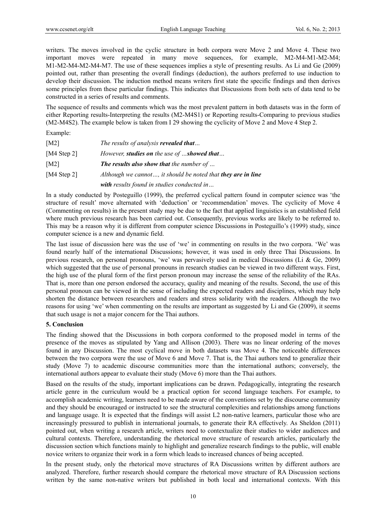writers. The moves involved in the cyclic structure in both corpora were Move 2 and Move 4. These two important moves were repeated in many move sequences, for example, M2-M4-M1-M2-M4; M1-M2-M4-M2-M4-M7. The use of these sequences implies a style of presenting results. As Li and Ge (2009) pointed out, rather than presenting the overall findings (deduction), the authors preferred to use induction to develop their discussion. The induction method means writers first state the specific findings and then derives some principles from these particular findings. This indicates that Discussions from both sets of data tend to be constructed in a series of results and comments.

The sequence of results and comments which was the most prevalent pattern in both datasets was in the form of either Reporting results-Interpreting the results (M2-M4S1) or Reporting results-Comparing to previous studies (M2-M4S2). The example below is taken from I 29 showing the cyclicity of Move 2 and Move 4 Step 2.

Example:

| [ $M2$ ]    | The results of analysis revealed that                               |
|-------------|---------------------------------------------------------------------|
| [M4 Step 2] | However, <b>studies on</b> the use of <b>showed that</b>            |
| [M2]        | <b>The results also show that the number of </b>                    |
| [M4 Step 2] | Although we cannot, it should be noted that <b>they are in line</b> |
|             | <b>with</b> results found in studies conducted in                   |

In a study conducted by Posteguillo (1999), the preferred cyclical pattern found in computer science was 'the structure of result' move alternated with 'deduction' or 'recommendation' moves. The cyclicity of Move 4 (Commenting on results) in the present study may be due to the fact that applied linguistics is an established field where much previous research has been carried out. Consequently, previous works are likely to be referred to. This may be a reason why it is different from computer science Discussions in Posteguillo's (1999) study, since computer science is a new and dynamic field.

The last issue of discussion here was the use of 'we' in commenting on results in the two corpora. 'We' was found nearly half of the international Discussions; however, it was used in only three Thai Discussions. In previous research, on personal pronouns, 'we' was pervasively used in medical Discussions (Li & Ge, 2009) which suggested that the use of personal pronouns in research studies can be viewed in two different ways. First, the high use of the plural form of the first person pronoun may increase the sense of the reliability of the RAs. That is, more than one person endorsed the accuracy, quality and meaning of the results. Second, the use of this personal pronoun can be viewed in the sense of including the expected readers and disciplines, which may help shorten the distance between researchers and readers and stress solidarity with the readers. Although the two reasons for using 'we' when commenting on the results are important as suggested by Li and Ge (2009), it seems that such usage is not a major concern for the Thai authors.

## **5. Conclusion**

The finding showed that the Discussions in both corpora conformed to the proposed model in terms of the presence of the moves as stipulated by Yang and Allison (2003). There was no linear ordering of the moves found in any Discussion. The most cyclical move in both datasets was Move 4. The noticeable differences between the two corpora were the use of Move 6 and Move 7. That is, the Thai authors tend to generalize their study (Move 7) to academic discourse communities more than the international authors; conversely, the international authors appear to evaluate their study (Move 6) more than the Thai authors.

Based on the results of the study, important implications can be drawn. Pedagogically, integrating the research article genre in the curriculum would be a practical option for second language teachers. For example, to accomplish academic writing, learners need to be made aware of the conventions set by the discourse community and they should be encouraged or instructed to see the structural complexities and relationships among functions and language usage. It is expected that the findings will assist L2 non-native learners, particular those who are increasingly pressured to publish in international journals, to generate their RA effectively. As Sheldon (2011) pointed out, when writing a research article, writers need to contextualize their studies to wider audiences and cultural contexts. Therefore, understanding the rhetorical move structure of research articles, particularly the discussion section which functions mainly to highlight and generalize research findings to the public, will enable novice writers to organize their work in a form which leads to increased chances of being accepted.

In the present study, only the rhetorical move structures of RA Discussions written by different authors are analyzed. Therefore, further research should compare the rhetorical move structure of RA Discussion sections written by the same non-native writers but published in both local and international contexts. With this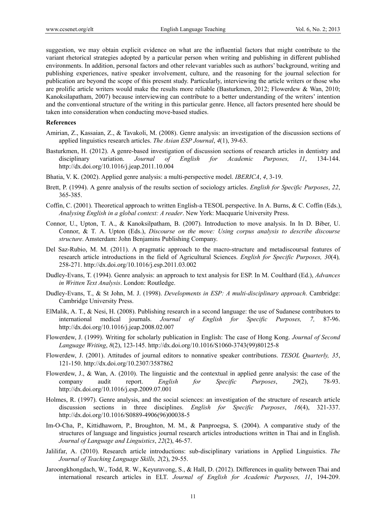suggestion, we may obtain explicit evidence on what are the influential factors that might contribute to the variant rhetorical strategies adopted by a particular person when writing and publishing in different published environments. In addition, personal factors and other relevant variables such as authors' background, writing and publishing experiences, native speaker involvement, culture, and the reasoning for the journal selection for publication are beyond the scope of this present study. Particularly, interviewing the article writers or those who are prolific article writers would make the results more reliable (Basturkmen, 2012; Flowerdew & Wan, 2010; Kanoksilapatham, 2007) because interviewing can contribute to a better understanding of the writers' intention and the conventional structure of the writing in this particular genre. Hence, all factors presented here should be taken into consideration when conducting move-based studies.

#### **References**

- Amirian, Z., Kassaian, Z., & Tavakoli, M. (2008). Genre analysis: an investigation of the discussion sections of applied linguistics research articles. *The Asian ESP Journal*, *4*(1), 39-63.
- Basturkmen, H. (2012). A genre-based investigation of discussion sections of research articles in dentistry and disciplinary variation. *Journal of English for Academic Purposes, 11*, 134-144. http://dx.doi.org/10.1016/j.jeap.2011.10.004
- Bhatia, V. K. (2002). Applied genre analysis: a multi-perspective model. *IBERICA*, *4*, 3-19.
- Brett, P. (1994). A genre analysis of the results section of sociology articles. *English for Specific Purposes*, *22*, 365-385.
- Coffin, C. (2001). Theoretical approach to written English-a TESOL perspective. In A. Burns, & C. Coffin (Eds.), *Analysing English in a global context: A reader*. New York: Macquarie University Press.
- Connor, U., Upton, T. A., & Kanoksilpatham, B. (2007). Introduction to move analysis. In In D. Biber, U. Connor, & T. A. Upton (Eds.), *Discourse on the move: Using corpus analysis to describe discourse structure*. Amsterdam: John Benjamins Publishing Company.
- Del Saz-Rubio, M. M. (2011). A pragmatic approach to the macro-structure and metadiscoursal features of research article introductions in the field of Agricultural Sciences. *English for Specific Purposes, 30*(4)*,*  258-271. http://dx.doi.org/10.1016/j.esp.2011.03.002
- Dudley-Evans, T. (1994). Genre analysis: an approach to text analysis for ESP. In M. Coulthard (Ed.), *Advances in Written Text Analysis*. London: Routledge.
- Dudley-Evans, T., & St John, M. J. (1998). *Developments in ESP: A multi-disciplinary approach*. Cambridge: Cambridge University Press.
- ElMalik, A. T., & Nesi, H. (2008). Publishing research in a second language: the use of Sudanese contributors to international medical journals. *Journal of English for Specific Purposes, 7,* 87-96. http://dx.doi.org/10.1016/j.jeap.2008.02.007
- Flowerdew, J. (1999). Writing for scholarly publication in English: The case of Hong Kong. *Journal of Second Language Writing*, *8*(2), 123-145. http://dx.doi.org/10.1016/S1060-3743(99)80125-8
- Flowerdew, J. (2001). Attitudes of journal editors to nonnative speaker contributions. *TESOL Quarterly, 35*, 121-150. http://dx.doi.org/10.2307/3587862
- Flowerdew, J., & Wan, A. (2010). The linguistic and the contextual in applied genre analysis: the case of the company audit report. *English for Specific Purposes*, *29*(2), 78-93. http://dx.doi.org/10.1016/j.esp.2009.07.001
- Holmes, R. (1997). Genre analysis, and the social sciences: an investigation of the structure of research article discussion sections in three disciplines. *English for Specific Purposes*, *16*(4), 321-337. http://dx.doi.org/10.1016/S0889-4906(96)00038-5
- Im-O-Cha, P., Kittidhaworn, P., Broughton, M. M., & Panproegsa, S. (2004). A comparative study of the structures of language and linguistics journal research articles introductions written in Thai and in English. *Journal of Language and Linguistics*, *22*(2), 46-57.
- Jalilifar, A. (2010). Research article introductions: sub-disciplinary variations in Applied Linguistics. *The Journal of Teaching Language Skills, 2*(2), 29-55.
- Jaroongkhongdach, W., Todd, R. W., Keyuravong, S., & Hall, D. (2012). Differences in quality between Thai and international research articles in ELT. *Journal of English for Academic Purposes, 11*, 194-209.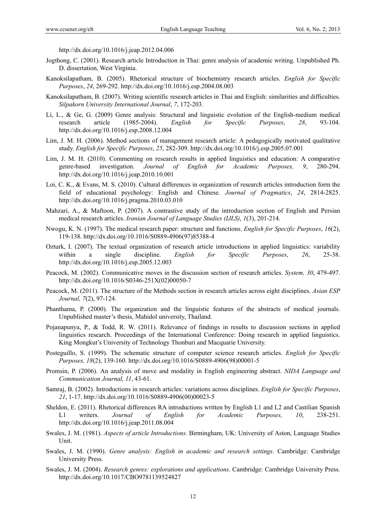http://dx.doi.org/10.1016/j.jeap.2012.04.006

- Jogthong, C. (2001). Research article Introduction in Thai: genre analysis of academic writing. Unpublished Ph. D. dissertation, West Virginia.
- Kanoksilapatham, B. (2005). Rhetorical structure of biochemistry research articles. *English for Specific Purposes*, *24*, 269-292. http://dx.doi.org/10.1016/j.esp.2004.08.003
- Kanoksilapatham, B. (2007). Writing scientific research articles in Thai and English: similarities and difficulties. *Silpakorn University International Journal*, *7*, 172-203.
- Li, L., & Ge, G. (2009) Genre analysis: Structural and linguistic evolution of the English-medium medical research article (1985-2004). *English for Specific Purposes*, *28*, 93-104. http://dx.doi.org/10.1016/j.esp.2008.12.004
- Lim, J. M. H. (2006). Method sections of management research article: A pedagogically motivated qualitative study. *English for Specific Purposes*, *25*, 282-309. http://dx.doi.org/10.1016/j.esp.2005.07.001
- Lim, J. M. H. (2010). Commenting on research results in applied linguistics and education: A comparative genre-based investigation. *Journal of English for Academic Purposes, 9*, 280-294. http://dx.doi.org/10.1016/j.jeap.2010.10.001
- Loi, C. K., & Evans, M. S. (2010). Cultural differences in organization of research articles introduction form the field of educational psychology: English and Chinese. *Journal of Pragmatics*, *24*, 2814-2825. http://dx.doi.org/10.1016/j.pragma.2010.03.010
- Mahzari, A., & Maftoon, P. (2007). A contrastive study of the introduction section of English and Persian medical research articles. *Iranian Journal of Language Studies (IJLS)*, *1*(3), 201-214.
- Nwogu, K. N. (1997). The medical research paper: structure and functions. *English for Specific Purposes*, *16*(2), 119-138. http://dx.doi.org/10.1016/S0889-4906(97)85388-4
- Ozturk, I. (2007). The textual organization of research article introductions in applied linguistics: variability within a single discipline. *English for Specific Purposes*, *26*, 25-38. http://dx.doi.org/10.1016/j.esp.2005.12.003
- Peacock, M. (2002). Communicative moves in the discussion section of research articles. *System, 30*, 479-497. http://dx.doi.org/10.1016/S0346-251X(02)00050-7
- Peacock, M. (2011). The structure of the Methods section in research articles across eight disciplines. *Asian ESP Journal, 7*(2), 97-124.
- Phanthama, P. (2000). The organization and the linguistic features of the abstracts of medical journals. Unpublished master's thesis, Mahidol university, Thailand.
- Pojanapunya, P., & Todd, R. W. (2011). Relevance of findings in results to discussion sections in applied linguistics research. Proceedings of the International Conference: Doing research in applied linguistics. King Mongkut's University of Technology Thonburi and Macquarie University.
- Posteguillo, S. (1999). The schematic structure of computer science research articles. *English for Specific Purposes, 18*(2), 139-160. http://dx.doi.org/10.1016/S0889-4906(98)00001-5
- Promsin, P. (2006). An analysis of move and modality in English engineering abstract. *NIDA Language and Communication Journal, 11*, 43-61.
- Samraj, B. (2002). Introductions in research articles: variations across disciplines. *English for Specific Purposes*, *21*, 1-17. http://dx.doi.org/10.1016/S0889-4906(00)00023-5
- Sheldon, E. (2011). Rhetorical differences RA introductions written by English L1 and L2 and Castilian Spanish L1 writers. *Journal of English for Academic Purposes, 10*, 238-251. http://dx.doi.org/10.1016/j.jeap.2011.08.004
- Swales, J. M. (1981). *Aspects of article Introductions*. Birmingham, UK: University of Aston, Language Studies Unit.
- Swales, J. M. (1990). *Genre analysis: English in academic and research settings*. Cambridge: Cambridge University Press.
- Swales, J. M. (2004). *Research genres: explorations and applications*. Cambridge: Cambridge University Press. http://dx.doi.org/10.1017/CBO9781139524827